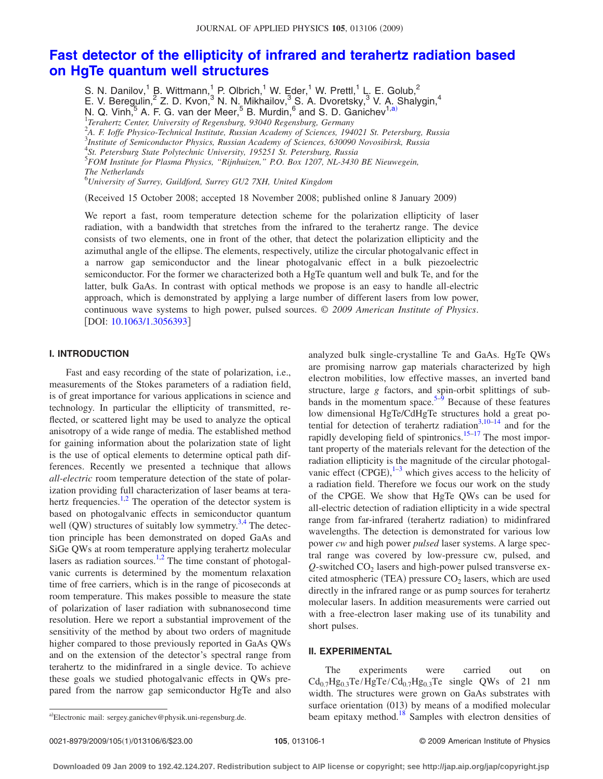# **[Fast detector of the ellipticity of infrared and terahertz radiation based](http://dx.doi.org/10.1063/1.3056393) [on HgTe quantum well structures](http://dx.doi.org/10.1063/1.3056393)**

S. N. Danilov,<sup>1</sup> B. Wittmann,<sup>1</sup> P. Olbrich,<sup>1</sup> W. Eder,<sup>1</sup> W. Prettl,<sup>1</sup> L. E. Golub,<sup>2</sup> E. V. Beregulin,<sup>2</sup> Z. D. Kvon,<sup>3</sup> N. N. Mikhailov,<sup>3</sup> S. A. Dvoretsky,<sup>3</sup> V. A. Shalygin,<sup>4</sup> N. Q. Vinh,  $5$  A. F. G. van der Meer,  $5$  B. Murdin,  $6$  and S. D. Ganichev<sup>1[,a](#page-0-0))</sup> 1 *Terahertz Center, University of Regensburg, 93040 Regensburg, Germany* 2 *A. F. Ioffe Physico-Technical Institute, Russian Academy of Sciences, 194021 St. Petersburg, Russia* 3 *Institute of Semiconductor Physics, Russian Academy of Sciences, 630090 Novosibirsk, Russia*

4 *St. Petersburg State Polytechnic University, 195251 St. Petersburg, Russia*

5 *FOM Institute for Plasma Physics, "Rijnhuizen," P.O. Box 1207, NL-3430 BE Nieuwegein,*

*The Netherlands* 6 *University of Surrey, Guildford, Surrey GU2 7XH, United Kingdom*

(Received 15 October 2008; accepted 18 November 2008; published online 8 January 2009)

We report a fast, room temperature detection scheme for the polarization ellipticity of laser radiation, with a bandwidth that stretches from the infrared to the terahertz range. The device consists of two elements, one in front of the other, that detect the polarization ellipticity and the azimuthal angle of the ellipse. The elements, respectively, utilize the circular photogalvanic effect in a narrow gap semiconductor and the linear photogalvanic effect in a bulk piezoelectric semiconductor. For the former we characterized both a HgTe quantum well and bulk Te, and for the latter, bulk GaAs. In contrast with optical methods we propose is an easy to handle all-electric approach, which is demonstrated by applying a large number of different lasers from low power, continuous wave systems to high power, pulsed sources. © *2009 American Institute of Physics*. [DOI: [10.1063/1.3056393](http://dx.doi.org/10.1063/1.3056393)]

# **I. INTRODUCTION**

Fast and easy recording of the state of polarization, i.e., measurements of the Stokes parameters of a radiation field, is of great importance for various applications in science and technology. In particular the ellipticity of transmitted, reflected, or scattered light may be used to analyze the optical anisotropy of a wide range of media. The established method for gaining information about the polarization state of light is the use of optical elements to determine optical path differences. Recently we presented a technique that allows *all-electric* room temperature detection of the state of polarization providing full characterization of laser beams at tera-hertz frequencies.<sup>1,[2](#page-5-0)</sup> The operation of the detector system is based on photogalvanic effects in semiconductor quantum well  $(QW)$  structures of suitably low symmetry.<sup>3[,4](#page-5-2)</sup> The detection principle has been demonstrated on doped GaAs and SiGe QWs at room temperature applying terahertz molecular lasers as radiation sources. $1,2$  $1,2$  The time constant of photogalvanic currents is determined by the momentum relaxation time of free carriers, which is in the range of picoseconds at room temperature. This makes possible to measure the state of polarization of laser radiation with subnanosecond time resolution. Here we report a substantial improvement of the sensitivity of the method by about two orders of magnitude higher compared to those previously reported in GaAs QWs and on the extension of the detector's spectral range from terahertz to the midinfrared in a single device. To achieve these goals we studied photogalvanic effects in QWs prepared from the narrow gap semiconductor HgTe and also

analyzed bulk single-crystalline Te and GaAs. HgTe QWs are promising narrow gap materials characterized by high electron mobilities, low effective masses, an inverted band structure, large *g* factors, and spin-orbit splittings of sub-bands in the momentum space.<sup>5[–9](#page-5-4)</sup> Because of these features low dimensional HgTe/CdHgTe structures hold a great po-tential for detection of terahertz radiation<sup>3[,10](#page-5-5)[–14](#page-5-6)</sup> and for the rapidly developing field of spintronics. $15-17$  $15-17$  The most important property of the materials relevant for the detection of the radiation ellipticity is the magnitude of the circular photogalvanic effect  $(CPGE)$ ,  $1-3$  $1-3$  which gives access to the helicity of a radiation field. Therefore we focus our work on the study of the CPGE. We show that HgTe QWs can be used for all-electric detection of radiation ellipticity in a wide spectral range from far-infrared (terahertz radiation) to midinfrared wavelengths. The detection is demonstrated for various low power *cw* and high power *pulsed* laser systems. A large spectral range was covered by low-pressure cw, pulsed, and  $Q$ -switched  $CO<sub>2</sub>$  lasers and high-power pulsed transverse excited atmospheric (TEA) pressure  $CO<sub>2</sub>$  lasers, which are used directly in the infrared range or as pump sources for terahertz molecular lasers. In addition measurements were carried out with a free-electron laser making use of its tunability and short pulses.

## **II. EXPERIMENTAL**

The experiments were carried out on  $Cd_{0.7}Hg_{0.3}Te/HgTe/Cd_{0.7}Hg_{0.3}Te$  single QWs of 21 nm width. The structures were grown on GaAs substrates with surface orientation  $(013)$  by means of a modified molecular beam epitaxy method.<sup>18</sup> Samples with electron densities of

<span id="page-0-0"></span>Electronic mail: sergey.ganichev@physik.uni-regensburg.de.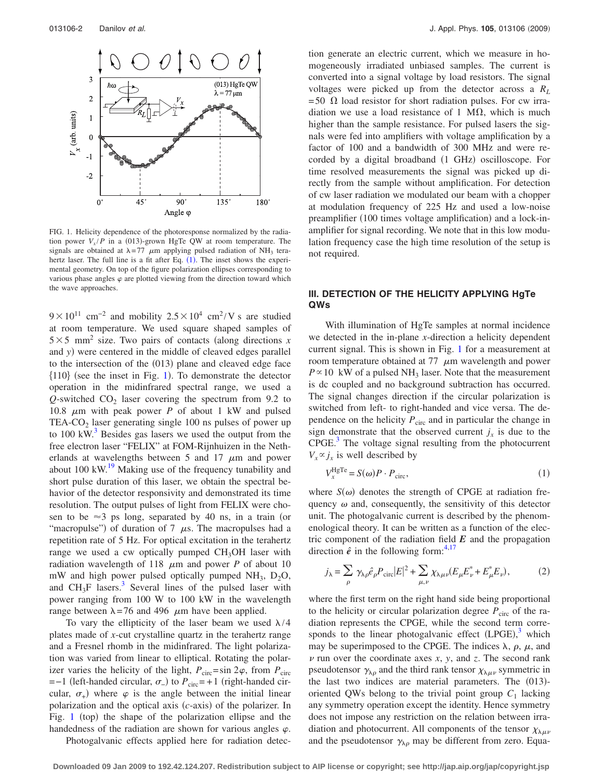<span id="page-1-0"></span>

FIG. 1. Helicity dependence of the photoresponse normalized by the radiation power  $V_x/P$  in a (013)-grown HgTe QW at room temperature. The signals are obtained at  $\lambda = 77$   $\mu$ m applying pulsed radiation of NH<sub>3</sub> terahertz laser. The full line is a fit after Eq.  $(1)$  $(1)$  $(1)$ . The inset shows the experimental geometry. On top of the figure polarization ellipses corresponding to various phase angles  $\varphi$  are plotted viewing from the direction toward which the wave approaches.

 $9 \times 10^{11}$  cm<sup>-2</sup> and mobility  $2.5 \times 10^4$  cm<sup>2</sup>/V s are studied at room temperature. We used square shaped samples of  $5 \times 5$  mm<sup>2</sup> size. Two pairs of contacts (along directions *x* and *y*) were centered in the middle of cleaved edges parallel to the intersection of the (013) plane and cleaved edge face  ${110}$  ${110}$  ${110}$  (see the inset in Fig. 1). To demonstrate the detector operation in the midinfrared spectral range, we used a  $Q$ -switched  $CO<sub>2</sub>$  laser covering the spectrum from 9.2 to 10.8  $\mu$ m with peak power *P* of about 1 kW and pulsed TEA- $CO<sub>2</sub>$  laser generating single 100 ns pulses of power up to  $100 \text{ kW}^3$  Besides gas lasers we used the output from the free electron laser "FELIX" at FOM-Rijnhuizen in the Netherlands at wavelengths between 5 and 17  $\mu$ m and power about  $100 \text{ kW}$ .<sup>19</sup> Making use of the frequency tunability and short pulse duration of this laser, we obtain the spectral behavior of the detector responsivity and demonstrated its time resolution. The output pulses of light from FELIX were chosen to be  $\approx$ 3 ps long, separated by 40 ns, in a train (or "macropulse") of duration of 7  $\mu$ s. The macropulses had a repetition rate of 5 Hz. For optical excitation in the terahertz range we used a cw optically pumped  $CH<sub>3</sub>OH$  laser with radiation wavelength of 118  $\mu$ m and power *P* of about 10 mW and high power pulsed optically pumped  $NH_3$ ,  $D_2O$ , and  $CH<sub>3</sub>F$  lasers.<sup>3</sup> Several lines of the pulsed laser with power ranging from 100 W to 100 kW in the wavelength range between  $\lambda = 76$  and 496  $\mu$ m have been applied.

To vary the ellipticity of the laser beam we used  $\lambda/4$ plates made of *x*-cut crystalline quartz in the terahertz range and a Fresnel rhomb in the midinfrared. The light polarization was varied from linear to elliptical. Rotating the polarizer varies the helicity of the light,  $P_{\text{circ}} = \sin 2\varphi$ , from  $P_{\text{circ}}$  $=-1$  (left-handed circular,  $\sigma$ <sub>-</sub>) to  $P_{\text{circ}}$ = +1 (right-handed circular,  $\sigma_{+}$ ) where  $\varphi$  is the angle between the initial linear polarization and the optical axis (c-axis) of the polarizer. In Fig.  $1$  (top) the shape of the polarization ellipse and the handedness of the radiation are shown for various angles  $\varphi$ .

Photogalvanic effects applied here for radiation detec-

tion generate an electric current, which we measure in homogeneously irradiated unbiased samples. The current is converted into a signal voltage by load resistors. The signal voltages were picked up from the detector across a *RL*  $= 50 \Omega$  load resistor for short radiation pulses. For cw irradiation we use a load resistance of 1 M $\Omega$ , which is much higher than the sample resistance. For pulsed lasers the signals were fed into amplifiers with voltage amplification by a factor of 100 and a bandwidth of 300 MHz and were recorded by a digital broadband (1 GHz) oscilloscope. For time resolved measurements the signal was picked up directly from the sample without amplification. For detection of cw laser radiation we modulated our beam with a chopper at modulation frequency of 225 Hz and used a low-noise preamplifier (100 times voltage amplification) and a lock-inamplifier for signal recording. We note that in this low modulation frequency case the high time resolution of the setup is not required.

# **III. DETECTION OF THE HELICITY APPLYING HgTe QWs**

With illumination of HgTe samples at normal incidence we detected in the in-plane *x*-direction a helicity dependent current signal. This is shown in Fig. [1](#page-1-0) for a measurement at room temperature obtained at  $77 \mu m$  wavelength and power  $P \propto 10$  kW of a pulsed NH<sub>3</sub> laser. Note that the measurement is dc coupled and no background subtraction has occurred. The signal changes direction if the circular polarization is switched from left- to right-handed and vice versa. The dependence on the helicity  $P_{\text{circ}}$  and in particular the change in sign demonstrate that the observed current  $j_x$  is due to the  $CPGE<sup>3</sup>$ . The voltage signal resulting from the photocurrent  $V_x \propto j_x$  is well described by

$$
V_x^{\text{HgTe}} = S(\omega)P \cdot P_{\text{circ}},\tag{1}
$$

<span id="page-1-1"></span>where  $S(\omega)$  denotes the strength of CPGE at radiation frequency  $\omega$  and, consequently, the sensitivity of this detector unit. The photogalvanic current is described by the phenomenological theory. It can be written as a function of the electric component of the radiation field  $E$  and the propagation direction  $\hat{e}$  in the following form:<sup>4,[17](#page-5-8)</sup>

<span id="page-1-2"></span>
$$
j_{\lambda} = \sum_{\rho} \gamma_{\lambda \rho} \hat{e}_{\rho} P_{\text{circ}} |E|^2 + \sum_{\mu, \nu} \chi_{\lambda \mu \nu} (E_{\mu} E_{\nu}^* + E_{\mu}^* E_{\nu}), \tag{2}
$$

where the first term on the right hand side being proportional to the helicity or circular polarization degree  $P_{\text{circ}}$  of the radiation represents the CPGE, while the second term corresponds to the linear photogalvanic effect  $(LPGE),$ <sup>[3](#page-5-1)</sup> which may be superimposed to the CPGE. The indices  $\lambda$ ,  $\rho$ ,  $\mu$ , and  $\nu$  run over the coordinate axes  $x$ ,  $y$ , and  $z$ . The second rank pseudotensor  $\gamma_{\lambda\rho}$  and the third rank tensor  $\chi_{\lambda\mu\nu}$  symmetric in the last two indices are material parameters. The (013)oriented QWs belong to the trivial point group  $C_1$  lacking any symmetry operation except the identity. Hence symmetry does not impose any restriction on the relation between irradiation and photocurrent. All components of the tensor  $\chi_{\lambda\mu\nu}$ and the pseudotensor  $\gamma_{\lambda\rho}$  may be different from zero. Equa-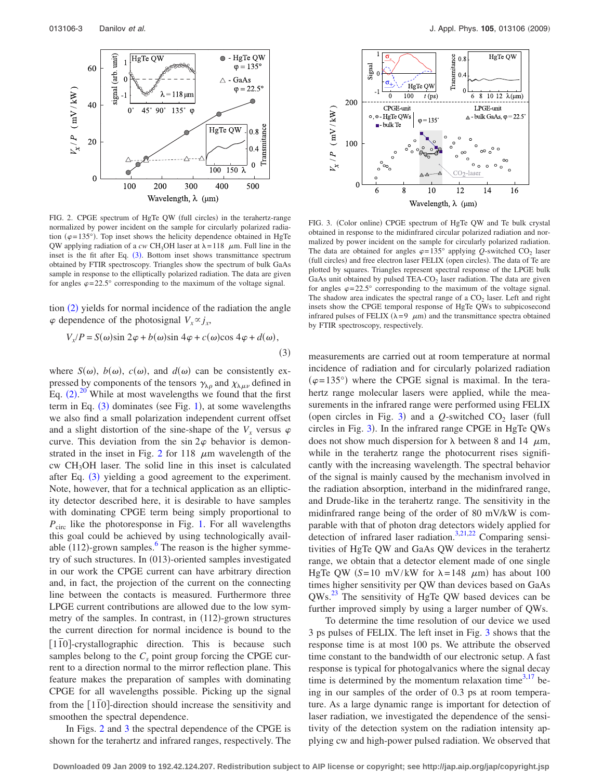<span id="page-2-1"></span>

FIG. 2. CPGE spectrum of HgTe QW (full circles) in the terahertz-range normalized by power incident on the sample for circularly polarized radiation ( $\varphi$ =135°). Top inset shows the helicity dependence obtained in HgTe QW applying radiation of a *cw* CH<sub>3</sub>OH laser at  $\lambda = 118$   $\mu$ m. Full line in the inset is the fit after Eq.  $(3)$  $(3)$  $(3)$ . Bottom inset shows transmittance spectrum obtained by FTIR spectroscopy. Triangles show the spectrum of bulk GaAs sample in response to the elliptically polarized radiation. The data are given for angles  $\varphi = 22.5^{\circ}$  corresponding to the maximum of the voltage signal.

tion ([2](#page-1-2)) yields for normal incidence of the radiation the angle  $\varphi$  dependence of the photosignal  $V_x \propto j_x$ ,

<span id="page-2-0"></span>
$$
V_x/P = S(\omega)\sin 2\varphi + b(\omega)\sin 4\varphi + c(\omega)\cos 4\varphi + d(\omega),
$$
\n(3)

where  $S(\omega)$ ,  $b(\omega)$ ,  $c(\omega)$ , and  $d(\omega)$  can be consistently expressed by components of the tensors  $\gamma_{\lambda\rho}$  and  $\chi_{\lambda\mu\nu}$  defined in Eq.  $(2).^{20}$  $(2).^{20}$  $(2).^{20}$  $(2).^{20}$  $(2).^{20}$  While at most wavelengths we found that the first term in Eq.  $(3)$  $(3)$  $(3)$  dominates (see Fig. [1](#page-1-0)), at some wavelengths we also find a small polarization independent current offset and a slight distortion of the sine-shape of the  $V<sub>x</sub>$  versus  $\varphi$ curve. This deviation from the sin  $2\varphi$  behavior is demon-strated in the inset in Fig. [2](#page-2-1) for 118  $\mu$ m wavelength of the cw CH3OH laser. The solid line in this inset is calculated after Eq. ([3](#page-2-0)) yielding a good agreement to the experiment. Note, however, that for a technical application as an ellipticity detector described here, it is desirable to have samples with dominating CPGE term being simply proportional to *P*<sub>circ</sub> like the photoresponse in Fig. [1.](#page-1-0) For all wavelengths this goal could be achieved by using technologically available  $(112)$ -grown samples.<sup>6</sup> The reason is the higher symmetry of such structures. In (013)-oriented samples investigated in our work the CPGE current can have arbitrary direction and, in fact, the projection of the current on the connecting line between the contacts is measured. Furthermore three LPGE current contributions are allowed due to the low symmetry of the samples. In contrast, in (112)-grown structures the current direction for normal incidence is bound to the [1<sup>10</sup>]-crystallographic direction. This is because such samples belong to the  $C_s$  point group forcing the CPGE current to a direction normal to the mirror reflection plane. This feature makes the preparation of samples with dominating CPGE for all wavelengths possible. Picking up the signal from the [110]-direction should increase the sensitivity and smoothen the spectral dependence.

In Figs. [2](#page-2-1) and [3](#page-2-2) the spectral dependence of the CPGE is shown for the terahertz and infrared ranges, respectively. The

<span id="page-2-2"></span>

FIG. 3. (Color online) CPGE spectrum of HgTe QW and Te bulk crystal obtained in response to the midinfrared circular polarized radiation and normalized by power incident on the sample for circularly polarized radiation. The data are obtained for angles  $\varphi = 135^\circ$  applying *Q*-switched CO<sub>2</sub> laser (full circles) and free electron laser FELIX (open circles). The data of Te are plotted by squares. Triangles represent spectral response of the LPGE bulk GaAs unit obtained by pulsed  $TEA-CO<sub>2</sub>$  laser radiation. The data are given for angles  $\varphi = 22.5^{\circ}$  corresponding to the maximum of the voltage signal. The shadow area indicates the spectral range of a  $CO<sub>2</sub>$  laser. Left and right insets show the CPGE temporal response of HgTe QWs to subpicosecond infrared pulses of FELIX ( $\lambda = 9$   $\mu$ m) and the transmittance spectra obtained by FTIR spectroscopy, respectively.

measurements are carried out at room temperature at normal incidence of radiation and for circularly polarized radiation  $(\varphi = 135^{\circ})$  where the CPGE signal is maximal. In the terahertz range molecular lasers were applied, while the measurements in the infrared range were performed using FELIX (open circles in Fig. [3](#page-2-2)) and a  $Q$ -switched  $CO<sub>2</sub>$  laser (full circles in Fig. [3](#page-2-2)). In the infrared range CPGE in HgTe QWs does not show much dispersion for  $\lambda$  between 8 and 14  $\mu$ m, while in the terahertz range the photocurrent rises significantly with the increasing wavelength. The spectral behavior of the signal is mainly caused by the mechanism involved in the radiation absorption, interband in the midinfrared range, and Drude-like in the terahertz range. The sensitivity in the midinfrared range being of the order of 80 mV/kW is comparable with that of photon drag detectors widely applied for detection of infrared laser radiation.<sup>3[,21](#page-5-13)[,22](#page-5-14)</sup> Comparing sensitivities of HgTe QW and GaAs QW devices in the terahertz range, we obtain that a detector element made of one single HgTe QW  $(S=10 \text{ mV/kW}$  for  $\lambda=148 \mu \text{m}$ ) has about 100 times higher sensitivity per QW than devices based on GaAs QWs[.23](#page-5-15) The sensitivity of HgTe QW based devices can be further improved simply by using a larger number of QWs.

To determine the time resolution of our device we used 3 ps pulses of FELIX. The left inset in Fig. [3](#page-2-2) shows that the response time is at most 100 ps. We attribute the observed time constant to the bandwidth of our electronic setup. A fast response is typical for photogalvanics where the signal decay time is determined by the momentum relaxation time<sup>3[,17](#page-5-8)</sup> being in our samples of the order of 0.3 ps at room temperature. As a large dynamic range is important for detection of laser radiation, we investigated the dependence of the sensitivity of the detection system on the radiation intensity applying cw and high-power pulsed radiation. We observed that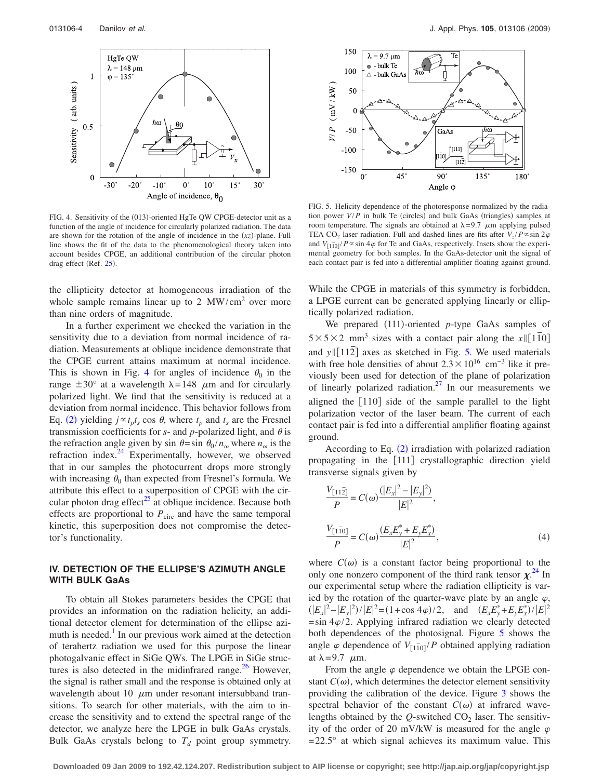<span id="page-3-0"></span>

FIG. 4. Sensitivity of the (013)-oriented HgTe QW CPGE-detector unit as a function of the angle of incidence for circularly polarized radiation. The data are shown for the rotation of the angle of incidence in the  $(xz)$ -plane. Full line shows the fit of the data to the phenomenological theory taken into account besides CPGE, an additional contribution of the circular photon drag effect (Ref. [25](#page-5-17)).

the ellipticity detector at homogeneous irradiation of the whole sample remains linear up to 2  $MW/cm<sup>2</sup>$  over more than nine orders of magnitude.

In a further experiment we checked the variation in the sensitivity due to a deviation from normal incidence of radiation. Measurements at oblique incidence demonstrate that the CPGE current attains maximum at normal incidence. This is shown in Fig. [4](#page-3-0) for angles of incidence  $\theta_0$  in the range  $\pm 30^{\circ}$  at a wavelength  $\lambda = 148$   $\mu$ m and for circularly polarized light. We find that the sensitivity is reduced at a deviation from normal incidence. This behavior follows from Eq. ([2](#page-1-2)) yielding  $j \propto t_p t_s \cos \theta$ , where  $t_p$  and  $t_s$  are the Fresnel transmission coefficients for  $s$ - and  $p$ -polarized light, and  $\theta$  is the refraction angle given by sin  $\theta = \sin \theta_0 / n_\omega$  where  $n_\omega$  is the refraction index.<sup>24</sup> Experimentally, however, we observed that in our samples the photocurrent drops more strongly with increasing  $\theta_0$  than expected from Fresnel's formula. We attribute this effect to a superposition of CPGE with the circular photon drag effect $^{25}$  at oblique incidence. Because both effects are proportional to  $P_{\text{circ}}$  and have the same temporal kinetic, this superposition does not compromise the detector's functionality.

## **IV. DETECTION OF THE ELLIPSE'S AZIMUTH ANGLE WITH BULK GaAs**

To obtain all Stokes parameters besides the CPGE that provides an information on the radiation helicity, an additional detector element for determination of the ellipse azimuth is needed.<sup>1</sup> In our previous work aimed at the detection of terahertz radiation we used for this purpose the linear photogalvanic effect in SiGe QWs. The LPGE in SiGe structures is also detected in the midinfrared range. $^{26}$  However, the signal is rather small and the response is obtained only at wavelength about 10  $\mu$ m under resonant intersubband transitions. To search for other materials, with the aim to increase the sensitivity and to extend the spectral range of the detector, we analyze here the LPGE in bulk GaAs crystals. Bulk GaAs crystals belong to  $T_d$  point group symmetry.

<span id="page-3-1"></span>

FIG. 5. Helicity dependence of the photoresponse normalized by the radiation power  $V/P$  in bulk Te (circles) and bulk GaAs (triangles) samples at room temperature. The signals are obtained at  $\lambda = 9.7$   $\mu$ m applying pulsed TEA CO<sub>2</sub> laser radiation. Full and dashed lines are fits after  $V_z/P \propto \sin 2\varphi$ and  $V_{[1\bar{1}0]}/P \propto \sin 4\varphi$  for Te and GaAs, respectively. Insets show the experimental geometry for both samples. In the GaAs-detector unit the signal of each contact pair is fed into a differential amplifier floating against ground.

While the CPGE in materials of this symmetry is forbidden, a LPGE current can be generated applying linearly or elliptically polarized radiation.

We prepared (111)-oriented p-type GaAs samples of  $5 \times 5 \times 2$  mm<sup>3</sup> sizes with a contact pair along the *x*||[1<sup>*T*0</sup>] and  $y \parallel [11\overline{2}]$  axes as sketched in Fig. [5.](#page-3-1) We used materials with free hole densities of about  $2.3 \times 10^{16}$  cm<sup>-3</sup> like it previously been used for detection of the plane of polarization of linearly polarized radiation.<sup>27</sup> In our measurements we aligned the  $\lceil 1\bar{1}0 \rceil$  side of the sample parallel to the light polarization vector of the laser beam. The current of each contact pair is fed into a differential amplifier floating against ground.

According to Eq. ([2](#page-1-2)) irradiation with polarized radiation propagating in the [111] crystallographic direction yield transverse signals given by

$$
\frac{V_{[11\bar{2}]} }{P} = C(\omega) \frac{(|E_x|^2 - |E_y|^2)}{|E|^2},
$$
  

$$
\frac{V_{[1\bar{1}0]}}{P} = C(\omega) \frac{(E_x E_y^* + E_y E_x^*)}{|E|^2},
$$
 (4)

where  $C(\omega)$  is a constant factor being proportional to the only one nonzero component of the third rank tensor  $\chi$ <sup>[24](#page-5-16)</sup>. our experimental setup where the radiation ellipticity is varied by the rotation of the quarter-wave plate by an angle  $\varphi$ ,  $(|E_x|^2 - |E_y|^2)/|E|^2 = (1 + \cos 4\varphi)/2$ , and  $(E_x E_y^* + E_y E_x^*)/|E|^2$  $=\sin 4\varphi/2$ . Applying infrared radiation we clearly detected both dependences of the photosignal. Figure [5](#page-3-1) shows the angle  $\varphi$  dependence of  $V_{[1\bar{1}0]}/P$  obtained applying radiation at  $\lambda = 9.7$   $\mu$ m.

From the angle  $\varphi$  dependence we obtain the LPGE constant  $C(\omega)$ , which determines the detector element sensitivity providing the calibration of the device. Figure [3](#page-2-2) shows the spectral behavior of the constant  $C(\omega)$  at infrared wavelengths obtained by the  $Q$ -switched  $CO<sub>2</sub>$  laser. The sensitivity of the order of 20 mV/kW is measured for the angle  $\varphi$  $= 22.5^{\circ}$  at which signal achieves its maximum value. This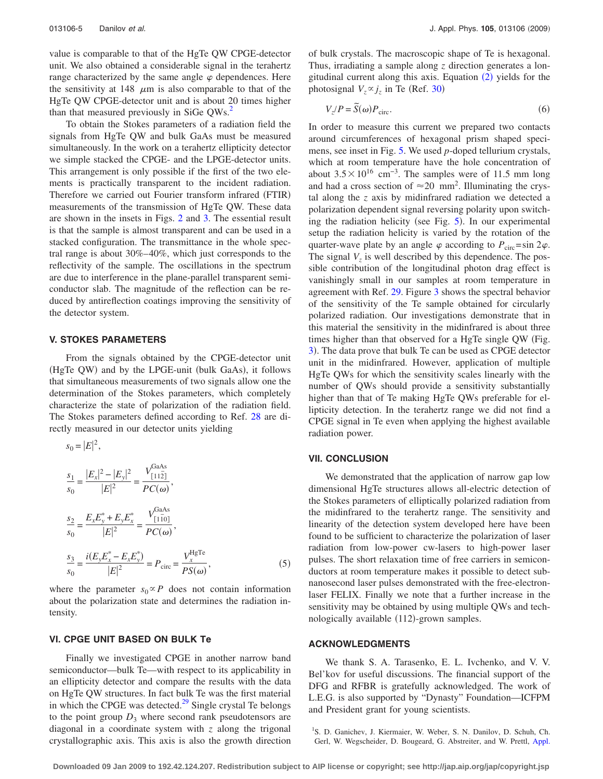value is comparable to that of the HgTe QW CPGE-detector unit. We also obtained a considerable signal in the terahertz range characterized by the same angle  $\varphi$  dependences. Here the sensitivity at 148  $\mu$ m is also comparable to that of the HgTe QW CPGE-detector unit and is about 20 times higher than that measured previously in SiGe QWs.<sup>2</sup>

To obtain the Stokes parameters of a radiation field the signals from HgTe QW and bulk GaAs must be measured simultaneously. In the work on a terahertz ellipticity detector we simple stacked the CPGE- and the LPGE-detector units. This arrangement is only possible if the first of the two elements is practically transparent to the incident radiation. Therefore we carried out Fourier transform infrared (FTIR) measurements of the transmission of HgTe QW. These data are shown in the insets in Figs. [2](#page-2-1) and [3.](#page-2-2) The essential result is that the sample is almost transparent and can be used in a stacked configuration. The transmittance in the whole spectral range is about 30%–40%, which just corresponds to the reflectivity of the sample. The oscillations in the spectrum are due to interference in the plane-parallel transparent semiconductor slab. The magnitude of the reflection can be reduced by antireflection coatings improving the sensitivity of the detector system.

### **V. STOKES PARAMETERS**

From the signals obtained by the CPGE-detector unit (HgTe QW) and by the LPGE-unit (bulk GaAs), it follows that simultaneous measurements of two signals allow one the determination of the Stokes parameters, which completely characterize the state of polarization of the radiation field. The Stokes parameters defined according to Ref. [28](#page-5-20) are directly measured in our detector units yielding

$$
s_0 = |E|^2,
$$
  
\n
$$
\frac{s_1}{s_0} = \frac{|E_x|^2 - |E_y|^2}{|E|^2} = \frac{V_{[11\bar{2}]}^{GaAs}}{PC(\omega)},
$$
  
\n
$$
\frac{s_2}{s_0} = \frac{E_x E_y^* + E_y E_x^*}{|E|^2} = \frac{V_{[1\bar{1}0]}^{GaAs}}{PC(\omega)},
$$
  
\n
$$
\frac{s_3}{s_0} = \frac{i(E_y E_x^* - E_x E_y^*)}{|E|^2} = P_{\text{circ}} = \frac{V_x^{\text{HgTe}}}{PS(\omega)},
$$
\n(5)

where the parameter  $s_0 \propto P$  does not contain information about the polarization state and determines the radiation intensity.

# **VI. CPGE UNIT BASED ON BULK Te**

Finally we investigated CPGE in another narrow band semiconductor—bulk Te—with respect to its applicability in an ellipticity detector and compare the results with the data on HgTe QW structures. In fact bulk Te was the first material in which the CPGE was detected. $^{29}$  Single crystal Te belongs to the point group  $D_3$  where second rank pseudotensors are diagonal in a coordinate system with *z* along the trigonal crystallographic axis. This axis is also the growth direction

of bulk crystals. The macroscopic shape of Te is hexagonal. Thus, irradiating a sample along *z* direction generates a longitudinal current along this axis. Equation  $(2)$  $(2)$  $(2)$  yields for the photosignal  $V_z \propto j_z$  in Te (Ref. [30](#page-5-22))

$$
V_z/P = \tilde{S}(\omega)P_{\text{circ}}.\tag{6}
$$

In order to measure this current we prepared two contacts around circumferences of hexagonal prism shaped specimens, see inset in Fig. [5.](#page-3-1) We used *p*-doped tellurium crystals, which at room temperature have the hole concentration of about  $3.5\times10^{16}$  cm<sup>-3</sup>. The samples were of 11.5 mm long and had a cross section of  $\approx 20$  mm<sup>2</sup>. Illuminating the crystal along the *z* axis by midinfrared radiation we detected a polarization dependent signal reversing polarity upon switch-ing the radiation helicity (see Fig. [5](#page-3-1)). In our experimental setup the radiation helicity is varied by the rotation of the quarter-wave plate by an angle  $\varphi$  according to  $P_{\text{circ}} = \sin 2\varphi$ . The signal  $V<sub>z</sub>$  is well described by this dependence. The possible contribution of the longitudinal photon drag effect is vanishingly small in our samples at room temperature in agreement with Ref. [29.](#page-5-21) Figure [3](#page-2-2) shows the spectral behavior of the sensitivity of the Te sample obtained for circularly polarized radiation. Our investigations demonstrate that in this material the sensitivity in the midinfrared is about three times higher than that observed for a HgTe single QW (Fig. [3](#page-2-2)). The data prove that bulk Te can be used as CPGE detector unit in the midinfrared. However, application of multiple HgTe QWs for which the sensitivity scales linearly with the number of QWs should provide a sensitivity substantially higher than that of Te making HgTe QWs preferable for ellipticity detection. In the terahertz range we did not find a CPGE signal in Te even when applying the highest available radiation power.

#### **VII. CONCLUSION**

We demonstrated that the application of narrow gap low dimensional HgTe structures allows all-electric detection of the Stokes parameters of elliptically polarized radiation from the midinfrared to the terahertz range. The sensitivity and linearity of the detection system developed here have been found to be sufficient to characterize the polarization of laser radiation from low-power cw-lasers to high-power laser pulses. The short relaxation time of free carriers in semiconductors at room temperature makes it possible to detect subnanosecond laser pulses demonstrated with the free-electronlaser FELIX. Finally we note that a further increase in the sensitivity may be obtained by using multiple QWs and technologically available (112)-grown samples.

#### **ACKNOWLEDGMENTS**

We thank S. A. Tarasenko, E. L. Ivchenko, and V. V. Bel'kov for useful discussions. The financial support of the DFG and RFBR is gratefully acknowledged. The work of L.E.G. is also supported by "Dynasty" Foundation—ICFPM and President grant for young scientists.

<span id="page-4-0"></span><sup>&</sup>lt;sup>1</sup>S. D. Ganichev, J. Kiermaier, W. Weber, S. N. Danilov, D. Schuh, Ch. Gerl, W. Wegscheider, D. Bougeard, G. Abstreiter, and W. Prettl, [Appl.](http://dx.doi.org/10.1063/1.2775809)